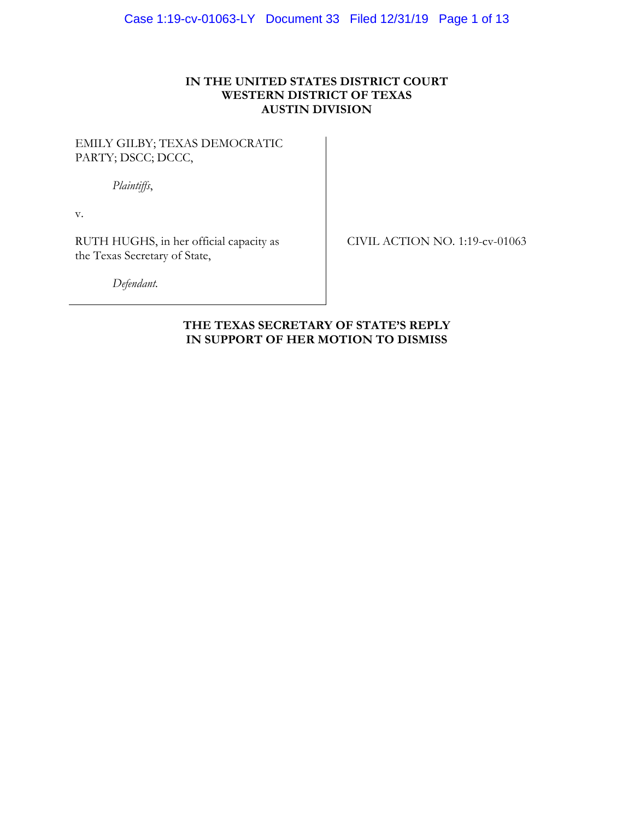# **IN THE UNITED STATES DISTRICT COURT WESTERN DISTRICT OF TEXAS AUSTIN DIVISION**

# EMILY GILBY; TEXAS DEMOCRATIC PARTY; DSCC; DCCC,

*Plaintiffs*,

v.

RUTH HUGHS, in her official capacity as the Texas Secretary of State,

CIVIL ACTION NO. 1:19-cv-01063

*Defendant.*

# **THE TEXAS SECRETARY OF STATE'S REPLY IN SUPPORT OF HER MOTION TO DISMISS**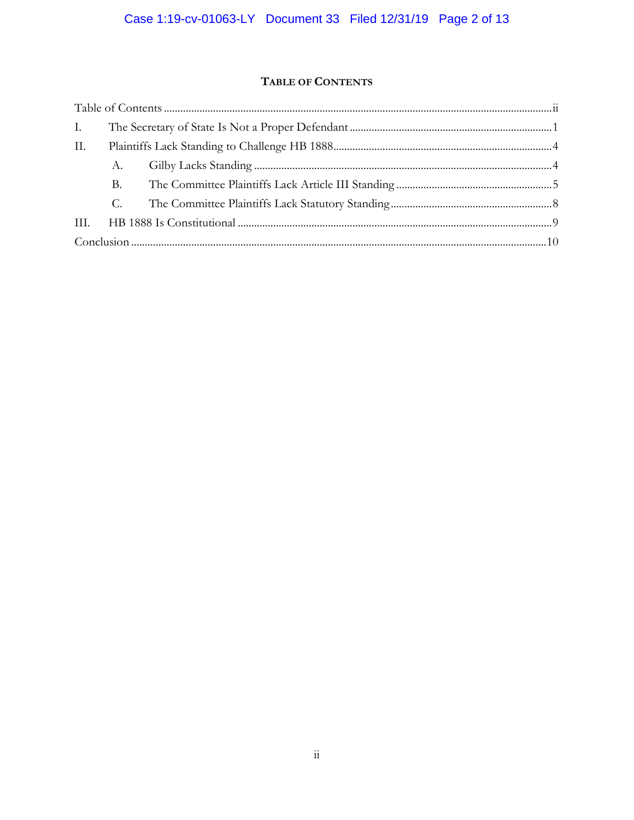# TABLE OF CONTENTS

| Ι.  |    |  |  |
|-----|----|--|--|
| II. |    |  |  |
|     | А. |  |  |
|     | В. |  |  |
|     | C. |  |  |
|     |    |  |  |
|     |    |  |  |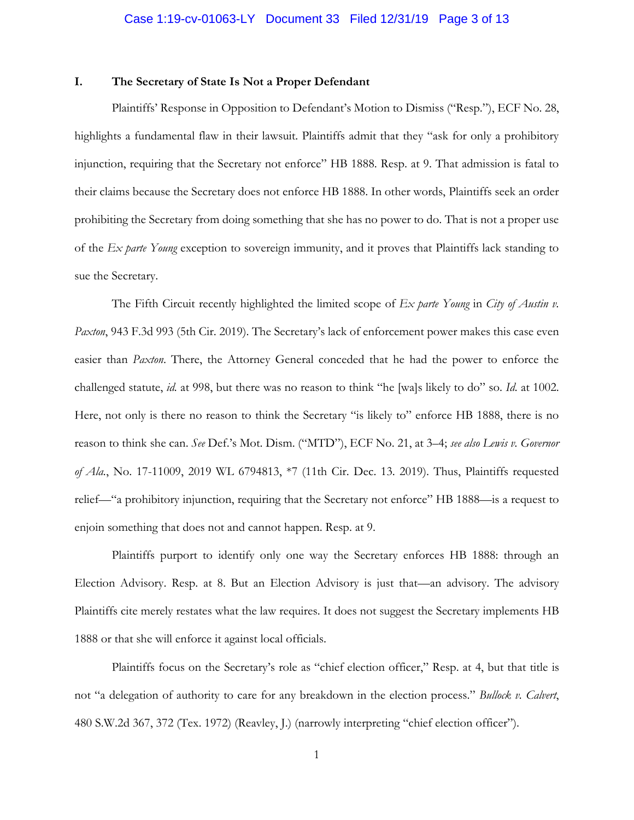### **I. The Secretary of State Is Not a Proper Defendant**

Plaintiffs' Response in Opposition to Defendant's Motion to Dismiss ("Resp."), ECF No. 28, highlights a fundamental flaw in their lawsuit. Plaintiffs admit that they "ask for only a prohibitory injunction, requiring that the Secretary not enforce" HB 1888. Resp. at 9. That admission is fatal to their claims because the Secretary does not enforce HB 1888. In other words, Plaintiffs seek an order prohibiting the Secretary from doing something that she has no power to do. That is not a proper use of the *Ex parte Young* exception to sovereign immunity, and it proves that Plaintiffs lack standing to sue the Secretary.

The Fifth Circuit recently highlighted the limited scope of *Ex parte Young* in *City of Austin v. Paxton*, 943 F.3d 993 (5th Cir. 2019). The Secretary's lack of enforcement power makes this case even easier than *Paxton*. There, the Attorney General conceded that he had the power to enforce the challenged statute, *id.* at 998, but there was no reason to think "he [wa]s likely to do" so. *Id.* at 1002. Here, not only is there no reason to think the Secretary "is likely to" enforce HB 1888, there is no reason to think she can. *See* Def.'s Mot. Dism. ("MTD"), ECF No. 21, at 3–4; *see also Lewis v. Governor of Ala.*, No. 17-11009, 2019 WL 6794813, \*7 (11th Cir. Dec. 13. 2019). Thus, Plaintiffs requested relief—"a prohibitory injunction, requiring that the Secretary not enforce" HB 1888—is a request to enjoin something that does not and cannot happen. Resp. at 9.

Plaintiffs purport to identify only one way the Secretary enforces HB 1888: through an Election Advisory. Resp. at 8. But an Election Advisory is just that—an advisory. The advisory Plaintiffs cite merely restates what the law requires. It does not suggest the Secretary implements HB 1888 or that she will enforce it against local officials.

Plaintiffs focus on the Secretary's role as "chief election officer," Resp. at 4, but that title is not "a delegation of authority to care for any breakdown in the election process." *Bullock v. Calvert*, 480 S.W.2d 367, 372 (Tex. 1972) (Reavley, J.) (narrowly interpreting "chief election officer").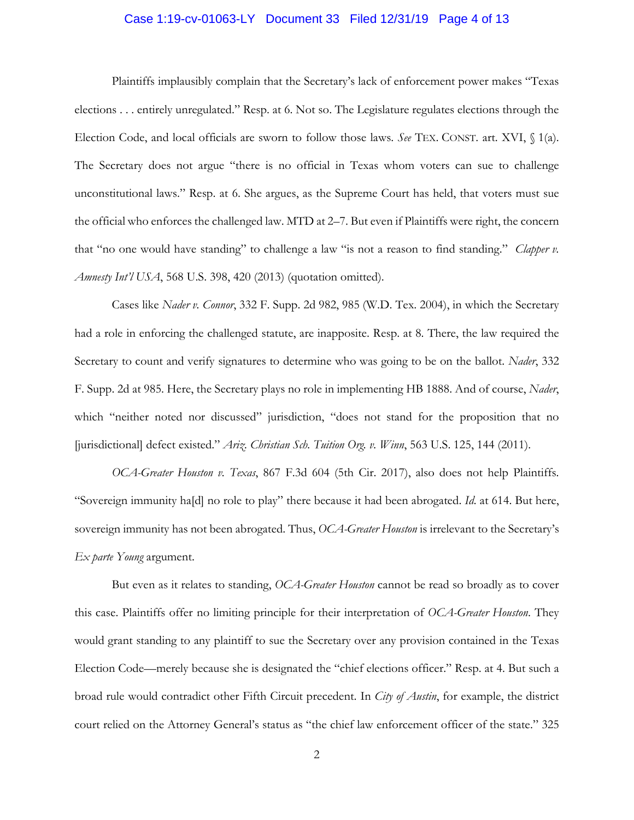# Case 1:19-cv-01063-LY Document 33 Filed 12/31/19 Page 4 of 13

Plaintiffs implausibly complain that the Secretary's lack of enforcement power makes "Texas elections . . . entirely unregulated." Resp. at 6. Not so. The Legislature regulates elections through the Election Code, and local officials are sworn to follow those laws. *See* TEX. CONST. art. XVI, § 1(a). The Secretary does not argue "there is no official in Texas whom voters can sue to challenge unconstitutional laws." Resp. at 6. She argues, as the Supreme Court has held, that voters must sue the official who enforces the challenged law. MTD at 2–7. But even if Plaintiffs were right, the concern that "no one would have standing" to challenge a law "is not a reason to find standing." *Clapper v. Amnesty Int'l USA*, 568 U.S. 398, 420 (2013) (quotation omitted).

Cases like *Nader v. Connor*, 332 F. Supp. 2d 982, 985 (W.D. Tex. 2004), in which the Secretary had a role in enforcing the challenged statute, are inapposite. Resp. at 8. There, the law required the Secretary to count and verify signatures to determine who was going to be on the ballot. *Nader*, 332 F. Supp. 2d at 985. Here, the Secretary plays no role in implementing HB 1888. And of course, *Nader*, which "neither noted nor discussed" jurisdiction, "does not stand for the proposition that no [jurisdictional] defect existed." *Ariz. Christian Sch. Tuition Org. v. Winn*, 563 U.S. 125, 144 (2011).

*OCA-Greater Houston v. Texas*, 867 F.3d 604 (5th Cir. 2017), also does not help Plaintiffs. "Sovereign immunity ha[d] no role to play" there because it had been abrogated. *Id.* at 614. But here, sovereign immunity has not been abrogated. Thus, *OCA-Greater Houston* is irrelevant to the Secretary's *Ex parte Young* argument.

But even as it relates to standing, *OCA-Greater Houston* cannot be read so broadly as to cover this case. Plaintiffs offer no limiting principle for their interpretation of *OCA-Greater Houston*. They would grant standing to any plaintiff to sue the Secretary over any provision contained in the Texas Election Code—merely because she is designated the "chief elections officer." Resp. at 4. But such a broad rule would contradict other Fifth Circuit precedent. In *City of Austin*, for example, the district court relied on the Attorney General's status as "the chief law enforcement officer of the state." 325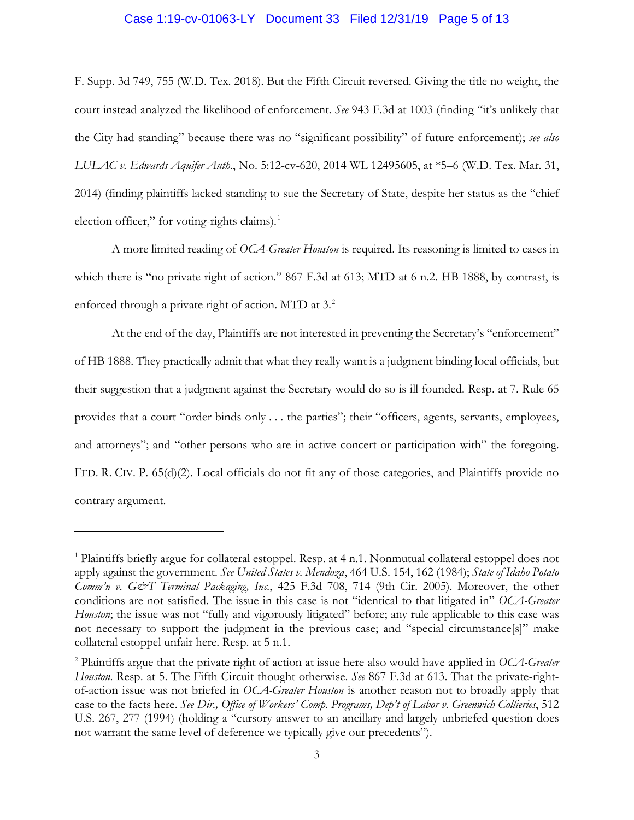### Case 1:19-cv-01063-LY Document 33 Filed 12/31/19 Page 5 of 13

F. Supp. 3d 749, 755 (W.D. Tex. 2018). But the Fifth Circuit reversed. Giving the title no weight, the court instead analyzed the likelihood of enforcement. *See* 943 F.3d at 1003 (finding "it's unlikely that the City had standing" because there was no "significant possibility" of future enforcement); *see also LULAC v. Edwards Aquifer Auth.*, No. 5:12-cv-620, 2014 WL 12495605, at \*5–6 (W.D. Tex. Mar. 31, 2014) (finding plaintiffs lacked standing to sue the Secretary of State, despite her status as the "chief election officer," for voting-rights claims).<sup>1</sup>

A more limited reading of *OCA-Greater Houston* is required. Its reasoning is limited to cases in which there is "no private right of action." 867 F.3d at 613; MTD at 6 n.2. HB 1888, by contrast, is enforced through a private right of action. MTD at 3.<sup>2</sup>

At the end of the day, Plaintiffs are not interested in preventing the Secretary's "enforcement" of HB 1888. They practically admit that what they really want is a judgment binding local officials, but their suggestion that a judgment against the Secretary would do so is ill founded. Resp. at 7. Rule 65 provides that a court "order binds only . . . the parties"; their "officers, agents, servants, employees, and attorneys"; and "other persons who are in active concert or participation with" the foregoing. FED. R. CIV. P. 65(d)(2). Local officials do not fit any of those categories, and Plaintiffs provide no contrary argument.

 $\overline{a}$ 

<sup>&</sup>lt;sup>1</sup> Plaintiffs briefly argue for collateral estoppel. Resp. at 4 n.1. Nonmutual collateral estoppel does not apply against the government. *See United States v. Mendoza*, 464 U.S. 154, 162 (1984); *State of Idaho Potato Comm'n v. G&T Terminal Packaging, Inc.*, 425 F.3d 708, 714 (9th Cir. 2005). Moreover, the other conditions are not satisfied. The issue in this case is not "identical to that litigated in" *OCA-Greater Houston*; the issue was not "fully and vigorously litigated" before; any rule applicable to this case was not necessary to support the judgment in the previous case; and "special circumstance[s]" make collateral estoppel unfair here. Resp. at 5 n.1.

<sup>2</sup> Plaintiffs argue that the private right of action at issue here also would have applied in *OCA-Greater Houston*. Resp. at 5. The Fifth Circuit thought otherwise. *See* 867 F.3d at 613. That the private-rightof-action issue was not briefed in *OCA-Greater Houston* is another reason not to broadly apply that case to the facts here. *See Dir., Office of Workers' Comp. Programs, Dep't of Labor v. Greenwich Collieries*, 512 U.S. 267, 277 (1994) (holding a "cursory answer to an ancillary and largely unbriefed question does not warrant the same level of deference we typically give our precedents").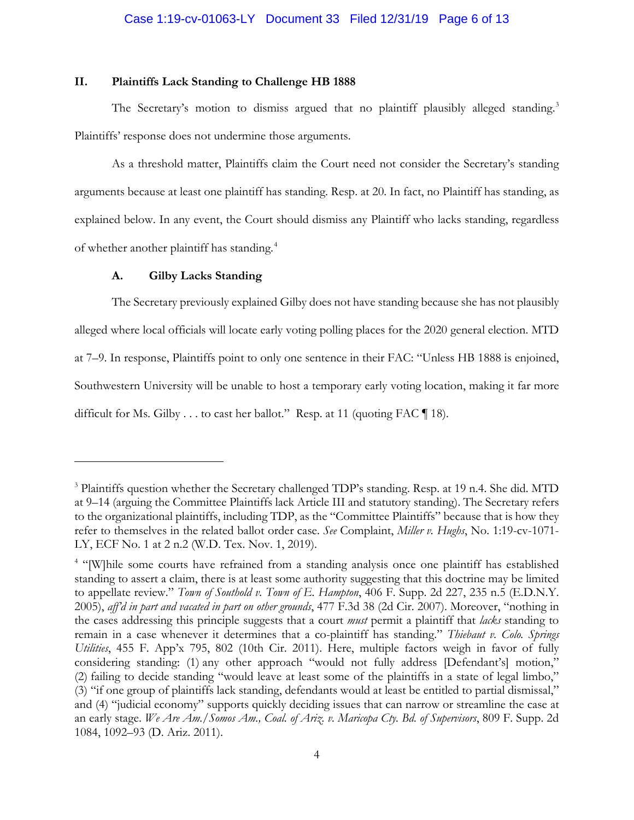### **II. Plaintiffs Lack Standing to Challenge HB 1888**

The Secretary's motion to dismiss argued that no plaintiff plausibly alleged standing.<sup>3</sup> Plaintiffs' response does not undermine those arguments.

As a threshold matter, Plaintiffs claim the Court need not consider the Secretary's standing arguments because at least one plaintiff has standing. Resp. at 20. In fact, no Plaintiff has standing, as explained below. In any event, the Court should dismiss any Plaintiff who lacks standing, regardless of whether another plaintiff has standing.4

#### **A. Gilby Lacks Standing**

 $\overline{a}$ 

The Secretary previously explained Gilby does not have standing because she has not plausibly alleged where local officials will locate early voting polling places for the 2020 general election. MTD at 7–9. In response, Plaintiffs point to only one sentence in their FAC: "Unless HB 1888 is enjoined, Southwestern University will be unable to host a temporary early voting location, making it far more difficult for Ms. Gilby . . . to cast her ballot." Resp. at 11 (quoting FAC ¶ 18).

<sup>3</sup> Plaintiffs question whether the Secretary challenged TDP's standing. Resp. at 19 n.4. She did. MTD at 9–14 (arguing the Committee Plaintiffs lack Article III and statutory standing). The Secretary refers to the organizational plaintiffs, including TDP, as the "Committee Plaintiffs" because that is how they refer to themselves in the related ballot order case. *See* Complaint, *Miller v. Hughs*, No. 1:19-cv-1071- LY, ECF No. 1 at 2 n.2 (W.D. Tex. Nov. 1, 2019).

<sup>&</sup>lt;sup>4</sup> "[W]hile some courts have refrained from a standing analysis once one plaintiff has established standing to assert a claim, there is at least some authority suggesting that this doctrine may be limited to appellate review." *Town of Southold v. Town of E. Hampton*, 406 F. Supp. 2d 227, 235 n.5 (E.D.N.Y. 2005), *aff'd in part and vacated in part on other grounds*, 477 F.3d 38 (2d Cir. 2007). Moreover, "nothing in the cases addressing this principle suggests that a court *must* permit a plaintiff that *lacks* standing to remain in a case whenever it determines that a co-plaintiff has standing." *Thiebaut v. Colo. Springs Utilities*, 455 F. App'x 795, 802 (10th Cir. 2011). Here, multiple factors weigh in favor of fully considering standing: (1) any other approach "would not fully address [Defendant's] motion," (2) failing to decide standing "would leave at least some of the plaintiffs in a state of legal limbo," (3) "if one group of plaintiffs lack standing, defendants would at least be entitled to partial dismissal," and (4) "judicial economy" supports quickly deciding issues that can narrow or streamline the case at an early stage. *We Are Am./Somos Am., Coal. of Ariz. v. Maricopa Cty. Bd. of Supervisors*, 809 F. Supp. 2d 1084, 1092–93 (D. Ariz. 2011).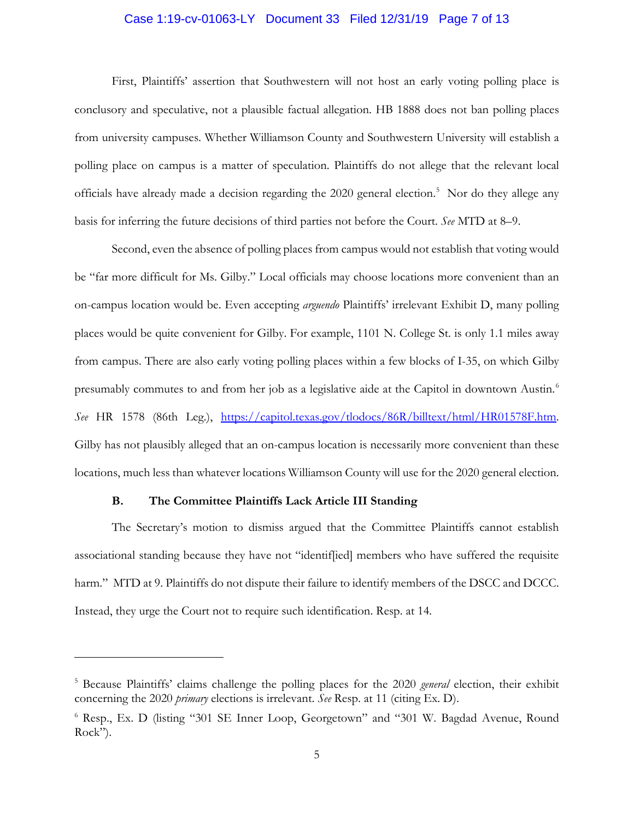## Case 1:19-cv-01063-LY Document 33 Filed 12/31/19 Page 7 of 13

First, Plaintiffs' assertion that Southwestern will not host an early voting polling place is conclusory and speculative, not a plausible factual allegation. HB 1888 does not ban polling places from university campuses. Whether Williamson County and Southwestern University will establish a polling place on campus is a matter of speculation. Plaintiffs do not allege that the relevant local officials have already made a decision regarding the 2020 general election. 5 Nor do they allege any basis for inferring the future decisions of third parties not before the Court. *See* MTD at 8–9.

Second, even the absence of polling places from campus would not establish that voting would be "far more difficult for Ms. Gilby." Local officials may choose locations more convenient than an on-campus location would be. Even accepting *arguendo* Plaintiffs' irrelevant Exhibit D, many polling places would be quite convenient for Gilby. For example, 1101 N. College St. is only 1.1 miles away from campus. There are also early voting polling places within a few blocks of I-35, on which Gilby presumably commutes to and from her job as a legislative aide at the Capitol in downtown Austin.<sup>6</sup> *See* HR 1578 (86th Leg.), https://capitol.texas.gov/tlodocs/86R/billtext/html/HR01578F.htm. Gilby has not plausibly alleged that an on-campus location is necessarily more convenient than these locations, much less than whatever locations Williamson County will use for the 2020 general election.

### **B. The Committee Plaintiffs Lack Article III Standing**

 $\overline{a}$ 

The Secretary's motion to dismiss argued that the Committee Plaintiffs cannot establish associational standing because they have not "identif[ied] members who have suffered the requisite harm." MTD at 9. Plaintiffs do not dispute their failure to identify members of the DSCC and DCCC. Instead, they urge the Court not to require such identification. Resp. at 14.

<sup>5</sup> Because Plaintiffs' claims challenge the polling places for the 2020 *general* election, their exhibit concerning the 2020 *primary* elections is irrelevant. *See* Resp. at 11 (citing Ex. D).

<sup>6</sup> Resp., Ex. D (listing "301 SE Inner Loop, Georgetown" and "301 W. Bagdad Avenue, Round Rock").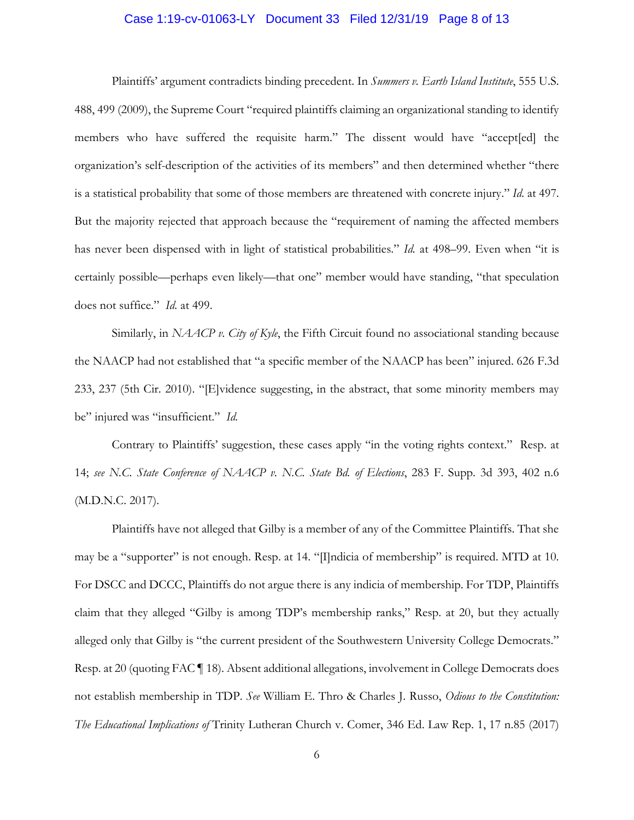## Case 1:19-cv-01063-LY Document 33 Filed 12/31/19 Page 8 of 13

Plaintiffs' argument contradicts binding precedent. In *Summers v. Earth Island Institute*, 555 U.S. 488, 499 (2009), the Supreme Court "required plaintiffs claiming an organizational standing to identify members who have suffered the requisite harm." The dissent would have "accept[ed] the organization's self-description of the activities of its members" and then determined whether "there is a statistical probability that some of those members are threatened with concrete injury." *Id.* at 497. But the majority rejected that approach because the "requirement of naming the affected members has never been dispensed with in light of statistical probabilities." *Id.* at 498–99. Even when "it is certainly possible—perhaps even likely—that one" member would have standing, "that speculation does not suffice." *Id.* at 499.

Similarly, in *NAACP v. City of Kyle*, the Fifth Circuit found no associational standing because the NAACP had not established that "a specific member of the NAACP has been" injured. 626 F.3d 233, 237 (5th Cir. 2010). "[E]vidence suggesting, in the abstract, that some minority members may be" injured was "insufficient." *Id.*

Contrary to Plaintiffs' suggestion, these cases apply "in the voting rights context." Resp. at 14; *see N.C. State Conference of NAACP v. N.C. State Bd. of Elections*, 283 F. Supp. 3d 393, 402 n.6 (M.D.N.C. 2017).

Plaintiffs have not alleged that Gilby is a member of any of the Committee Plaintiffs. That she may be a "supporter" is not enough. Resp. at 14. "[I]ndicia of membership" is required. MTD at 10. For DSCC and DCCC, Plaintiffs do not argue there is any indicia of membership. For TDP, Plaintiffs claim that they alleged "Gilby is among TDP's membership ranks," Resp. at 20, but they actually alleged only that Gilby is "the current president of the Southwestern University College Democrats." Resp. at 20 (quoting FAC ¶ 18). Absent additional allegations, involvement in College Democrats does not establish membership in TDP. *See* William E. Thro & Charles J. Russo, *Odious to the Constitution: The Educational Implications of* Trinity Lutheran Church v. Comer, 346 Ed. Law Rep. 1, 17 n.85 (2017)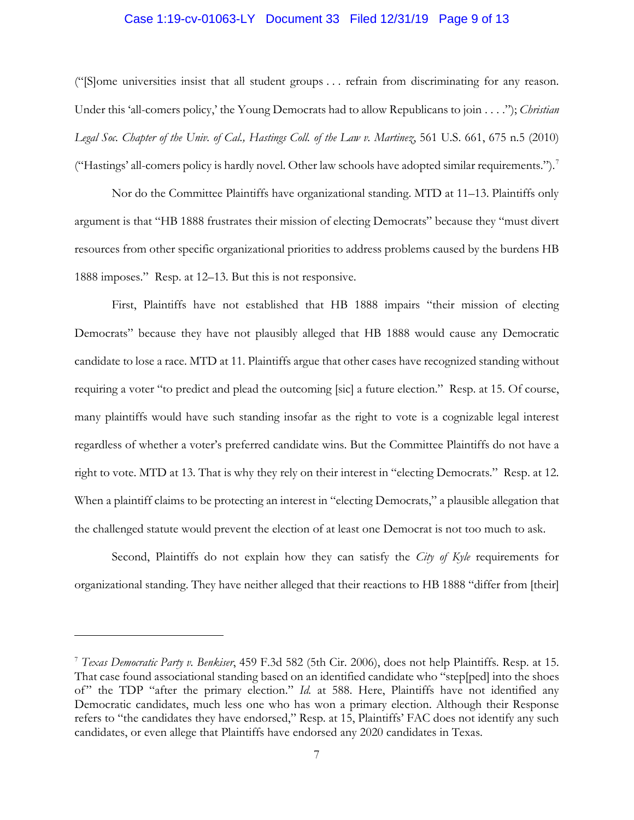## Case 1:19-cv-01063-LY Document 33 Filed 12/31/19 Page 9 of 13

("[S]ome universities insist that all student groups . . . refrain from discriminating for any reason. Under this 'all-comers policy,' the Young Democrats had to allow Republicans to join . . . ."); *Christian Legal Soc. Chapter of the Univ. of Cal., Hastings Coll. of the Law v. Martinez*, 561 U.S. 661, 675 n.5 (2010) ("Hastings' all-comers policy is hardly novel. Other law schools have adopted similar requirements.").7

Nor do the Committee Plaintiffs have organizational standing. MTD at 11–13. Plaintiffs only argument is that "HB 1888 frustrates their mission of electing Democrats" because they "must divert resources from other specific organizational priorities to address problems caused by the burdens HB 1888 imposes." Resp. at 12–13. But this is not responsive.

First, Plaintiffs have not established that HB 1888 impairs "their mission of electing Democrats" because they have not plausibly alleged that HB 1888 would cause any Democratic candidate to lose a race. MTD at 11. Plaintiffs argue that other cases have recognized standing without requiring a voter "to predict and plead the outcoming [sic] a future election." Resp. at 15. Of course, many plaintiffs would have such standing insofar as the right to vote is a cognizable legal interest regardless of whether a voter's preferred candidate wins. But the Committee Plaintiffs do not have a right to vote. MTD at 13. That is why they rely on their interest in "electing Democrats." Resp. at 12. When a plaintiff claims to be protecting an interest in "electing Democrats," a plausible allegation that the challenged statute would prevent the election of at least one Democrat is not too much to ask.

Second, Plaintiffs do not explain how they can satisfy the *City of Kyle* requirements for organizational standing. They have neither alleged that their reactions to HB 1888 "differ from [their]

 $\overline{a}$ 

<sup>7</sup> *Texas Democratic Party v. Benkiser*, 459 F.3d 582 (5th Cir. 2006), does not help Plaintiffs. Resp. at 15. That case found associational standing based on an identified candidate who "step[ped] into the shoes of" the TDP "after the primary election." *Id.* at 588. Here, Plaintiffs have not identified any Democratic candidates, much less one who has won a primary election. Although their Response refers to "the candidates they have endorsed," Resp. at 15, Plaintiffs' FAC does not identify any such candidates, or even allege that Plaintiffs have endorsed any 2020 candidates in Texas.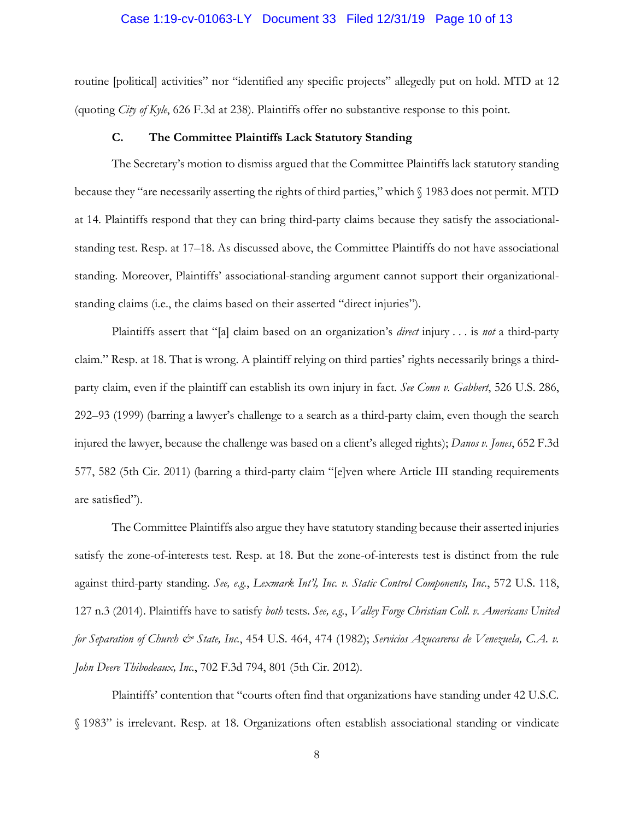### Case 1:19-cv-01063-LY Document 33 Filed 12/31/19 Page 10 of 13

routine [political] activities" nor "identified any specific projects" allegedly put on hold. MTD at 12 (quoting *City of Kyle*, 626 F.3d at 238). Plaintiffs offer no substantive response to this point.

#### **C. The Committee Plaintiffs Lack Statutory Standing**

The Secretary's motion to dismiss argued that the Committee Plaintiffs lack statutory standing because they "are necessarily asserting the rights of third parties," which § 1983 does not permit. MTD at 14. Plaintiffs respond that they can bring third-party claims because they satisfy the associationalstanding test. Resp. at 17–18. As discussed above, the Committee Plaintiffs do not have associational standing. Moreover, Plaintiffs' associational-standing argument cannot support their organizationalstanding claims (i.e., the claims based on their asserted "direct injuries").

Plaintiffs assert that "[a] claim based on an organization's *direct* injury . . . is *not* a third-party claim." Resp. at 18. That is wrong. A plaintiff relying on third parties' rights necessarily brings a thirdparty claim, even if the plaintiff can establish its own injury in fact. *See Conn v. Gabbert*, 526 U.S. 286, 292–93 (1999) (barring a lawyer's challenge to a search as a third-party claim, even though the search injured the lawyer, because the challenge was based on a client's alleged rights); *Danos v. Jones*, 652 F.3d 577, 582 (5th Cir. 2011) (barring a third-party claim "[e]ven where Article III standing requirements are satisfied").

The Committee Plaintiffs also argue they have statutory standing because their asserted injuries satisfy the zone-of-interests test. Resp. at 18. But the zone-of-interests test is distinct from the rule against third-party standing. *See, e.g.*, *Lexmark Int'l, Inc. v. Static Control Components, Inc.*, 572 U.S. 118, 127 n.3 (2014). Plaintiffs have to satisfy *both* tests. *See, e.g.*, *Valley Forge Christian Coll. v. Americans United for Separation of Church & State, Inc.*, 454 U.S. 464, 474 (1982); *Servicios Azucareros de Venezuela, C.A. v. John Deere Thibodeaux, Inc.*, 702 F.3d 794, 801 (5th Cir. 2012).

Plaintiffs' contention that "courts often find that organizations have standing under 42 U.S.C. § 1983" is irrelevant. Resp. at 18. Organizations often establish associational standing or vindicate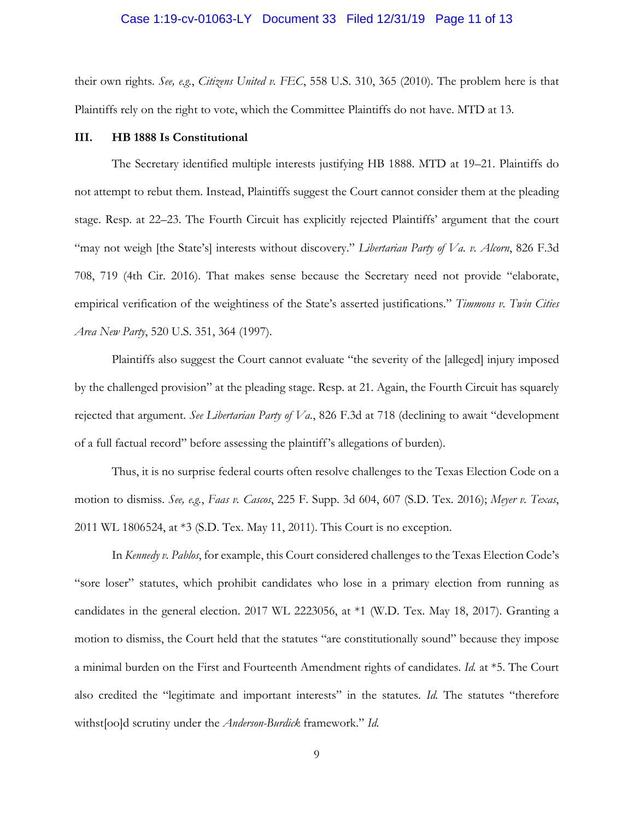### Case 1:19-cv-01063-LY Document 33 Filed 12/31/19 Page 11 of 13

their own rights. *See, e.g.*, *Citizens United v. FEC*, 558 U.S. 310, 365 (2010). The problem here is that Plaintiffs rely on the right to vote, which the Committee Plaintiffs do not have. MTD at 13.

#### **III. HB 1888 Is Constitutional**

The Secretary identified multiple interests justifying HB 1888. MTD at 19–21. Plaintiffs do not attempt to rebut them. Instead, Plaintiffs suggest the Court cannot consider them at the pleading stage. Resp. at 22–23. The Fourth Circuit has explicitly rejected Plaintiffs' argument that the court "may not weigh [the State's] interests without discovery." *Libertarian Party of Va. v. Alcorn*, 826 F.3d 708, 719 (4th Cir. 2016). That makes sense because the Secretary need not provide "elaborate, empirical verification of the weightiness of the State's asserted justifications." *Timmons v. Twin Cities Area New Party*, 520 U.S. 351, 364 (1997).

Plaintiffs also suggest the Court cannot evaluate "the severity of the [alleged] injury imposed by the challenged provision" at the pleading stage. Resp. at 21. Again, the Fourth Circuit has squarely rejected that argument. *See Libertarian Party of Va.*, 826 F.3d at 718 (declining to await "development of a full factual record" before assessing the plaintiff's allegations of burden).

Thus, it is no surprise federal courts often resolve challenges to the Texas Election Code on a motion to dismiss. *See, e.g.*, *Faas v. Cascos*, 225 F. Supp. 3d 604, 607 (S.D. Tex. 2016); *Meyer v. Texas*, 2011 WL 1806524, at \*3 (S.D. Tex. May 11, 2011). This Court is no exception.

In *Kennedy v. Pablos*, for example, this Court considered challenges to the Texas Election Code's "sore loser" statutes, which prohibit candidates who lose in a primary election from running as candidates in the general election. 2017 WL 2223056, at \*1 (W.D. Tex. May 18, 2017). Granting a motion to dismiss, the Court held that the statutes "are constitutionally sound" because they impose a minimal burden on the First and Fourteenth Amendment rights of candidates. *Id.* at \*5. The Court also credited the "legitimate and important interests" in the statutes. *Id.* The statutes "therefore withst[oo]d scrutiny under the *Anderson-Burdick* framework." *Id.*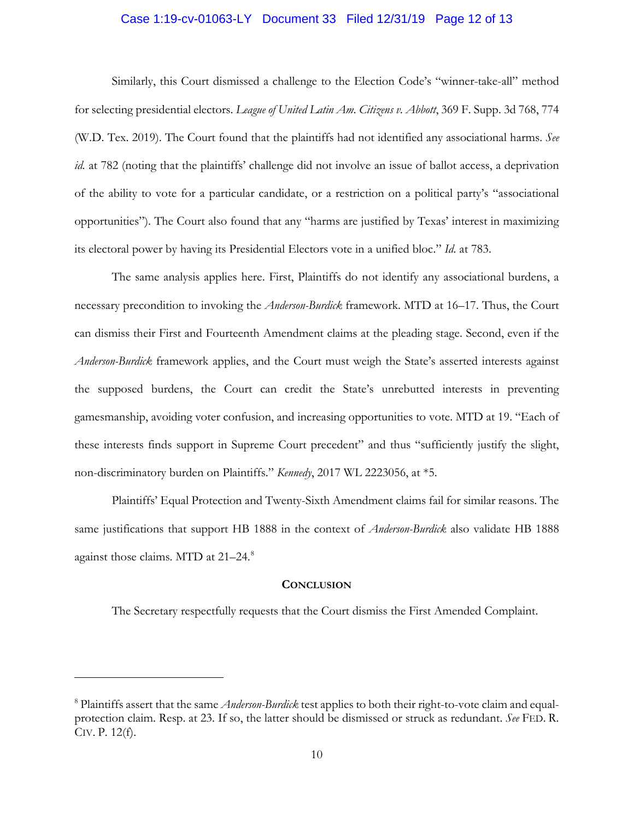# Case 1:19-cv-01063-LY Document 33 Filed 12/31/19 Page 12 of 13

Similarly, this Court dismissed a challenge to the Election Code's "winner-take-all" method for selecting presidential electors. *League of United Latin Am. Citizens v. Abbott*, 369 F. Supp. 3d 768, 774 (W.D. Tex. 2019). The Court found that the plaintiffs had not identified any associational harms. *See id.* at 782 (noting that the plaintiffs' challenge did not involve an issue of ballot access, a deprivation of the ability to vote for a particular candidate, or a restriction on a political party's "associational opportunities"). The Court also found that any "harms are justified by Texas' interest in maximizing its electoral power by having its Presidential Electors vote in a unified bloc." *Id.* at 783.

The same analysis applies here. First, Plaintiffs do not identify any associational burdens, a necessary precondition to invoking the *Anderson-Burdick* framework. MTD at 16–17. Thus, the Court can dismiss their First and Fourteenth Amendment claims at the pleading stage. Second, even if the *Anderson-Burdick* framework applies, and the Court must weigh the State's asserted interests against the supposed burdens, the Court can credit the State's unrebutted interests in preventing gamesmanship, avoiding voter confusion, and increasing opportunities to vote. MTD at 19. "Each of these interests finds support in Supreme Court precedent" and thus "sufficiently justify the slight, non-discriminatory burden on Plaintiffs." *Kennedy*, 2017 WL 2223056, at \*5.

Plaintiffs' Equal Protection and Twenty-Sixth Amendment claims fail for similar reasons. The same justifications that support HB 1888 in the context of *Anderson-Burdick* also validate HB 1888 against those claims. MTD at 21-24.<sup>8</sup>

#### **CONCLUSION**

The Secretary respectfully requests that the Court dismiss the First Amended Complaint.

 $\overline{a}$ 

<sup>8</sup> Plaintiffs assert that the same *Anderson-Burdick* test applies to both their right-to-vote claim and equalprotection claim. Resp. at 23. If so, the latter should be dismissed or struck as redundant. *See* FED. R. CIV. P. 12(f).